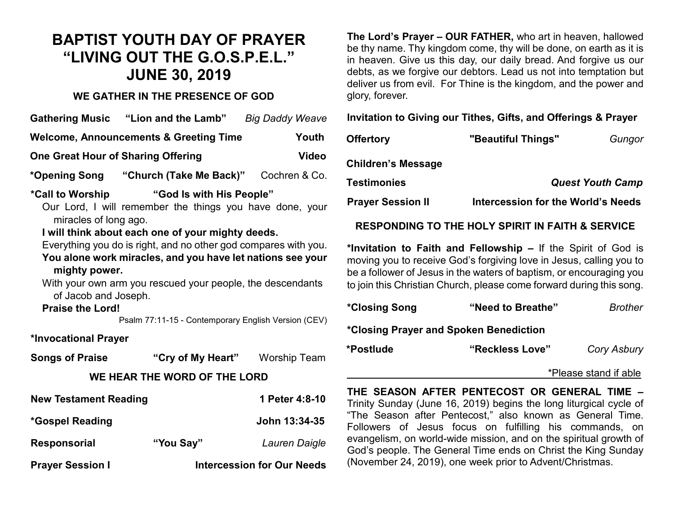# **BAPTIST YOUTH DAY OF PRAYER "LIVING OUT THE G.O.S.P.E.L." JUNE 30, 2019**

## **WE GATHER IN THE PRESENCE OF GOD**

|                                                                                                                                                                                                                                                                                                                                                                                                                                                                                                                  |                                                   | <b>Big Daddy Weave</b>         |  |  |  |
|------------------------------------------------------------------------------------------------------------------------------------------------------------------------------------------------------------------------------------------------------------------------------------------------------------------------------------------------------------------------------------------------------------------------------------------------------------------------------------------------------------------|---------------------------------------------------|--------------------------------|--|--|--|
|                                                                                                                                                                                                                                                                                                                                                                                                                                                                                                                  | <b>Welcome, Announcements &amp; Greeting Time</b> | Youth                          |  |  |  |
| <b>One Great Hour of Sharing Offering</b>                                                                                                                                                                                                                                                                                                                                                                                                                                                                        |                                                   | <b>Video</b>                   |  |  |  |
|                                                                                                                                                                                                                                                                                                                                                                                                                                                                                                                  | *Opening Song  "Church (Take Me Back)"            | Cochren & Co.                  |  |  |  |
| "God Is with His People"<br>*Call to Worship<br>Our Lord, I will remember the things you have done, your<br>miracles of long ago.<br>I will think about each one of your mighty deeds.<br>Everything you do is right, and no other god compares with you.<br>You alone work miracles, and you have let nations see your<br>mighty power.<br>With your own arm you rescued your people, the descendants<br>of Jacob and Joseph.<br><b>Praise the Lord!</b><br>Psalm 77:11-15 - Contemporary English Version (CEV) |                                                   |                                |  |  |  |
| *Invocational Prayer                                                                                                                                                                                                                                                                                                                                                                                                                                                                                             |                                                   |                                |  |  |  |
| Songs of Praise                                                                                                                                                                                                                                                                                                                                                                                                                                                                                                  |                                                   | "Cry of My Heart" Worship Team |  |  |  |
|                                                                                                                                                                                                                                                                                                                                                                                                                                                                                                                  | WE HEAR THE WORD OF THE LORD                      |                                |  |  |  |
| <b>New Testament Reading</b>                                                                                                                                                                                                                                                                                                                                                                                                                                                                                     |                                                   | 1 Peter 4:8-10                 |  |  |  |
| *Gospel Reading                                                                                                                                                                                                                                                                                                                                                                                                                                                                                                  |                                                   | John 13:34-35                  |  |  |  |
| <b>Responsorial</b>                                                                                                                                                                                                                                                                                                                                                                                                                                                                                              | "You Say"                                         | Lauren Daigle                  |  |  |  |

**Prayer Session I Intercession for Our Needs** 

**The Lord's Prayer – OUR FATHER,** who art in heaven, hallowed be thy name. Thy kingdom come, thy will be done, on earth as it is in heaven. Give us this day, our daily bread. And forgive us our debts, as we forgive our debtors. Lead us not into temptation but deliver us from evil. For Thine is the kingdom, and the power and glory, forever.

**Invitation to Giving our Tithes, Gifts, and Offerings & Prayer**

| "Beautiful Things"                 | Gungor |
|------------------------------------|--------|
|                                    |        |
| <b>Quest Youth Camp</b>            |        |
| Intercession for the World's Needs |        |
|                                    |        |

## **RESPONDING TO THE HOLY SPIRIT IN FAITH & SERVICE**

**\*Invitation to Faith and Fellowship –** If the Spirit of God is moving you to receive God's forgiving love in Jesus, calling you to be a follower of Jesus in the waters of baptism, or encouraging you to join this Christian Church, please come forward during this song.

| *Closing Song                          | "Need to Breathe" | <b>Brother</b>     |
|----------------------------------------|-------------------|--------------------|
| *Closing Prayer and Spoken Benediction |                   |                    |
| *Postlude                              | "Reckless Love"   | <b>Cory Asbury</b> |

#### \*Please stand if able

**THE SEASON AFTER PENTECOST OR GENERAL TIME –** Trinity Sunday (June 16, 2019) begins the long liturgical cycle of "The Season after Pentecost," also known as General Time. Followers of Jesus focus on fulfilling his commands, on evangelism, on world-wide mission, and on the spiritual growth of God's people. The General Time ends on Christ the King Sunday (November 24, 2019), one week prior to Advent/Christmas.